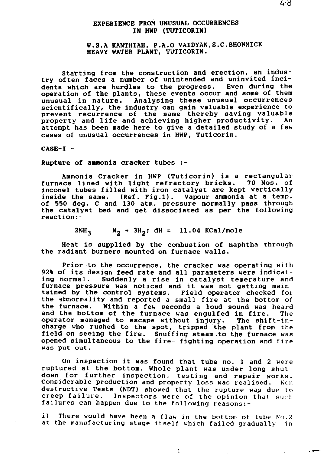## EXPERIENCE FROM UNUSUAL OCCURRENCES IN **HWP** (TUTICORIN)

### W.S.A KANTHIAH, P.A.O VAIDYAN.S.C.BHOWMICK HEAVY WATER PLANT, TUTICORIN.

Starting from the construction and erection, **an** industry often faces a number of unintended and uninvited incidents which are hurdles to the progress. Even during the operation of the plants, these events occur and some of them unusual in nature. Analysing these unusual occurrences scientifically, the industry can gain valuable experience to prevent recurrence of the same thereby saving valuable property and life and achieving higher productivity. An attempt has been made here to give a detailed study of a few cases of unusual occurrences in HWP, Tuticorin.

 $CASE-I -$ 

**Rupture** of **amnonia** cracker tubes :-

Ammonia Cracker in HWP (Tuticorin) is a rectangular furnace lined with light refractory bricks. 70 Nos. of inconel tubes filled with iron catalyst are kept vertically inside the same. (Ref. Fig.l). Vapour ammonia at **a** temp, of 550 deg. C and 130 atm. pressure normally pass through the catalyst bed and get dissociated as per the following reaction:-

 $2NH_3$   $N_2$  +  $3H_2$ ; dH = 11.04 KCal/mole

Heat is supplied by the combustion of naphtha through the radiant burners mounted on furnace walls.

Prior to the occurrence, the cracker was operating with 92% of its design feed rate and all parameters were indicat-Suddenly a rise in catalyst temerature and furnace pressure was noticed and it was not getting maintained by the control systems. Field operator checked for the abnormality and reported a small fire at the bottom of the furnace. Within a few seconds a loud sound was heard and the bottom of the furnace was engulfed in fire. The operator managed to escape without injury. The shift-incharge who rushed to the spot, tripped the plant from the field on seeing the fire. Snuffing steam.to the furnace was opened simultaneous to the fire- fighting operation and fire was put out.

On inspection it was found that tube no. 1 and 2 were ruptured at the bottom. Whole plant was under long shutdown for further inspection, testing and repair works. Considerable production and property loss was realised. Non destructive Tests (NDT) showed that the rupture was due to creep failure. Inspectors were of the opinion that such failures can happen due to the following reasons:-

i) There would have been a flaw in the bottom of tube  $No.2$ at the manufacturing stage itself which failed gradually in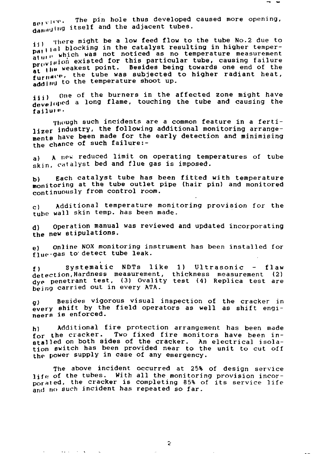There might be a low feed flow to the tube No.2 due to 11, the blocking in the catalyst resulting in higher temperparties. The part of the second was not not result in the consequence of the peratur.<br>provision existed for this particular tube, causing failure proven the session of the sessions of the session of the at the tube was subjected to higher radiant heat add Ind to the temperature shoot up.

iii) one of the burners in the affected zone might have developed a long flame, touching the tube and causing the failure.

Though such incidents are a common feature in a fertilizer industry, the following additional monitoring arrangements have been made for the early detection and minimising the chance of such failure:-

a) A new reduced limit on operating temperatures of tube skin, catalyst bed and flue gas is imposed.

b) Each catalyst tube has been fitted with temperature monitoring at the tube outlet pipe (hair pin) and monitored continuously from control room.

 $c$  ) Additional temperature monitoring provision for the tube wall skin temp, has been made.

d) Operation manual was reviewed and updated incorporating the new stipulations.

e) Online NOX monitoring instrument has been installed for flue-gas to detect tube leak.

f) systematic NDTs like 1) Ultrasonic - flaw detection,Hardness measurement, thickness measurement (2) dyp penetrant test, (3) Ovality test (4) Replica test are being carried out in every ATA.

g) Besides vigorous visual inspection of the cracker in every shift by the field operators as well as shift engineers is enforced.

h) Additional fire protection arrangement has been made for the cracker. Two fixed fire monitors have been installed on both sides of the cracker. An electrical isolation switch has been provided near to the unit to cut off the power supply in case of any emergency.

The above incident occurred at 25% of design service  $\mathbf{l}\mathbf{j}$  fe of the tubes. With all the monitoring provision incor- $_{\text{Dorated}}$ , the cracker is completing 85% of its service life and no such incident has repeated so far.

 $\tilde{z}$ 

 $\sim$   $\sim$  $\mathbf{v} = \mathbf{v} \times \mathbf{v}$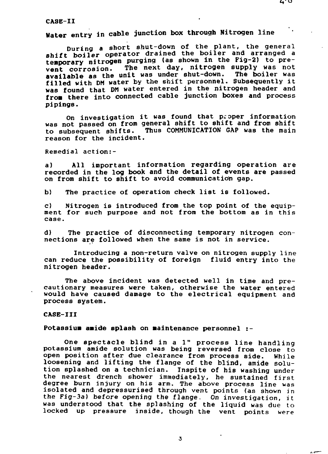**CASB-II**

**Hater entry in cable junction box through Nitrogen line**

**During a short shut-down of the plant, the general shift boiler operator drained the boiler and arranged a temporary nitrogen purging (as shown in the Fig-2) to prevent corrosion. The next day, nitrogen supply was not available as the unit was under shut-down. The boiler was filled with DM water by the shift personnel. Subsequently it was found that DM water entered in the nitrogen header and froa there into connected cable junction boxes and process pipings.**

**On investigation it was found that proper information was not passed on from general shift to shift and from shift** Thus COMMUNICATION GAP was the main **reason for the incident.**

**Remedial action:-**

**a) All important information regarding operation are recorded in the log book and the detail of events are passed** on from shift to shift to avoid communication gap.

**b) The practice of operation check list is followed.**

**c) Nitrogen is introduced from the top point of the equipment for such purpose and not from the bottom as in this case.**

**d) The practice of disconnecting temporary nitrogen connections are followed when the same is not in service.**

**Introducing a non-return valve on nitrogen supply line can reduce the possibility of foreign fluid entry into the nitrogen header.**

**The above incident was detected well in time and precautionary measures were taken, otherwise the water entered would have caused damage to the electrical equipment and process system.**

#### **CASE-III**

### **Potassiua aside splash on Maintenance personnel :-**

**One spectacle blind in a 1" process line handling potassium amide solution was being reversed from close to open position after due clearance from process side. While loosening and lifting the flange of the blind, amide solution splashed on a technician. Inspite of his washing under the nearest drench shower immediately, he sustained first degree burn injury on his arm. The above process line was isolated and depressurised through vent points (as shown in the Fig-3a) before opening the flange, On investigation, it was understood that the splashing of the liquid was due to locked up pressure inside, though the vent points were**

 $\theta$  , even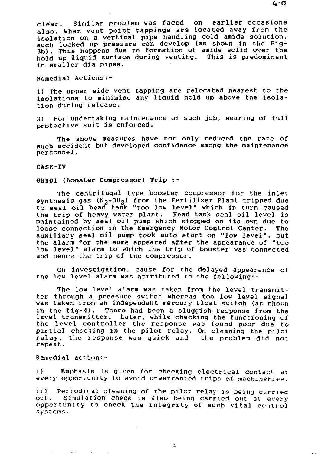clear. Similar problem was faced on earlier occasions also. When vent point tappings are located away from the isolation on a vertical pipe handling cold amide solution, such locked up pressure can develop (as shown in the Fig-3b) . This happens due to formation of amide solid over the hold up liquid surface during venting. This is predominant in smaller dia pipes.

Remedial Actions:-

1) The upper side vent tapping are relocated nearest to the isolations to minimise any liquid hold up above tne isolation during release.

2) For undertaking maintenance of such job, wearing of full protective suit is enforced.

The above measures have not only reduced the rate of such accident but developed confidence among the maintenance personnel.

#### CASE-IV

### GB101 (Booster Compressor) Trip :-

The centrifugal type booster compressor for the inlet synthesis gas  $(N_2+3H_2)$  from the Fertilizer Plant tripped due to seal oil head tank "too low level" which in turn caused the trip of heavy water plant. Head tank seal oil level is maintained by seal oil pump which stopped on its own due to loose connection in the Emergency Motor Control Center. The auxiliary seal oil pump took auto start on "low level", but the alarm for the same appeared after the appearance of "too low level" alarm to which the trip of booster was connected and hence the trip of the compressor.

On investigation, cause for the delayed appearance of the low level alarm was attributed to the following:-

The low level alarm was taken from the level transmitter through a pressure switch whereas too low level signal was taken from an independant mercury float switch (as shown in the fig-4). There had been a sluggish response from the level transmitter. Later, while checking the functioning of the level controller the response was found poor due to partial chocking in the pilot relay. On cleaning the pilot relay, the response was quick and the problem did not repeat.

Remedial action:-

i) Emphasis is given for checking electrical contact at every opportunity to avoid unwarranted trips of machineries.

ii) Periodical cleaning of the pilot relay is being carried out. Simulation check is also being carried out at every opportunity to check the integrity of such vital control systems.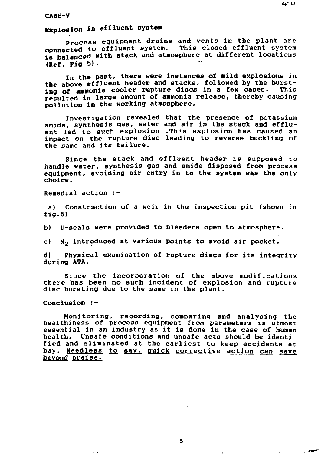# **Explosion in effluent systea**

**Process equipment drains and vents in the plant are cpnnected to effluent system. This closed effluent system is balanced with stack and atmosphere at different locations (Ref. Pig 5) .**

**In the past, there were instances of aild explosions in** the above effluent header and stacks, followed by the burst-<br>ing of annonia cooler rupture discs in a few cases. This ing of ammonia cooler rupture discs in a few cases. **resulted in large amount of ammonia release, thereby causing pollution in the working atmosphere.**

**Investigation revealed that the presence of potassium amide, synthesis gas, water and air in the stack and effluent led to such explosion .This explosion has caused an impact on the rupture disc leading to reverse buckling of the same and its failure.**

**Since the stack and effluent header is supposed to handle water, synthesis gas and amide disposed from process equipment, avoiding air entry in to the system was the only choice.**

**Remedial action :-**

**a) Construction of a weir in the inspection pit (shown in fig.5)**

**b) U-seals were provided to bleeders open to atmosphere.**

**c) N2 introduced at various points to avoid air pocket.**

**d) Physical examination of rupture discs for its integrity during ATA.**

**Since the incorporation of the above modifications there has been no such incident of explosion and rupture disc bursting due to the same in the plant.**

**Conclusion :-**

 $\mathcal{L}^{\mathcal{L}}(\mathbf{X})$  , and  $\mathcal{L}^{\mathcal{L}}(\mathbf{X})$  , and

**Monitoring, recording, comparing and analysing the healthiness of process equipment from parameters is utmost essential in an industry as it is done in the case of human health. Unsafe conditions and unsafe acts should be identified and eliminated at the earliest to keep accidents at bay. Needless to say, quick corrective action can save beyond praise.**

キーテーチー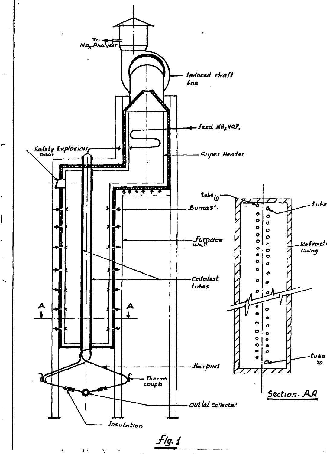

ł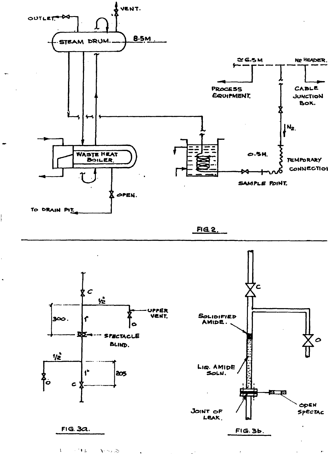

 $FIG. 2.$ 



 $\langle \cdot, \cdot \rangle$  ,  $\langle \cdot, \cdot \rangle$ **Contract**